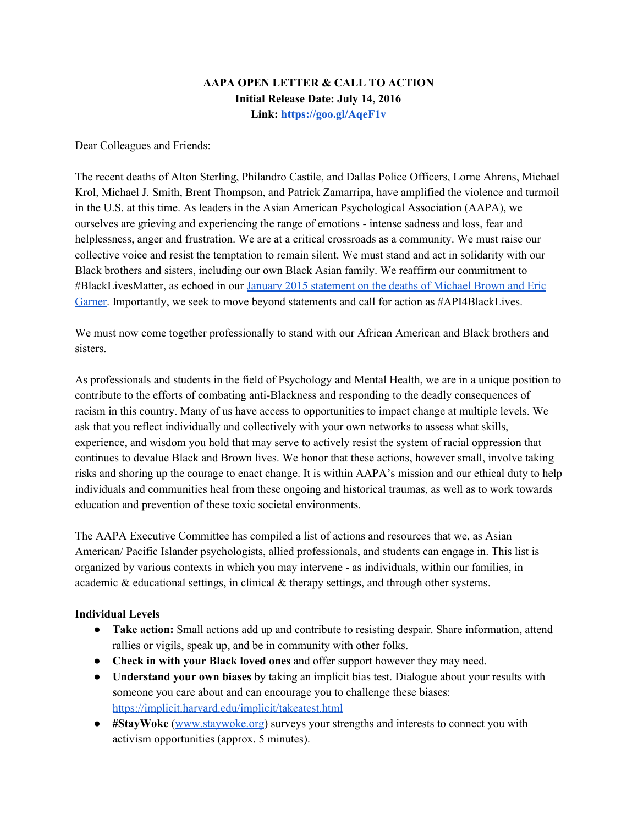# **AAPA OPEN LETTER & CALL TO ACTION Initial Release Date: July 14, 2016 Link: <https://goo.gl/AqeF1v>**

Dear Colleagues and Friends:

The recent deaths of Alton Sterling, Philandro Castile, and Dallas Police Officers, Lorne Ahrens, Michael Krol, Michael J. Smith, Brent Thompson, and Patrick Zamarripa, have amplified the violence and turmoil in the U.S. at this time. As leaders in the Asian American Psychological Association (AAPA), we ourselves are grieving and experiencing the range of emotions - intense sadness and loss, fear and helplessness, anger and frustration. We are at a critical crossroads as a community. We must raise our collective voice and resist the temptation to remain silent. We must stand and act in solidarity with our Black brothers and sisters, including our own Black Asian family. We reaffirm our commitment to #BlackLivesMatter, as echoed in our January 2015 [statement](http://aapaonline.org/2015/01/05/aapa-statement-on-michael-brown-eric-garner/) on the deaths of Michael Brown and Eric [Garner.](http://aapaonline.org/2015/01/05/aapa-statement-on-michael-brown-eric-garner/) Importantly, we seek to move beyond statements and call for action as #API4BlackLives.

We must now come together professionally to stand with our African American and Black brothers and sisters.

As professionals and students in the field of Psychology and Mental Health, we are in a unique position to contribute to the efforts of combating anti-Blackness and responding to the deadly consequences of racism in this country. Many of us have access to opportunities to impact change at multiple levels. We ask that you reflect individually and collectively with your own networks to assess what skills, experience, and wisdom you hold that may serve to actively resist the system of racial oppression that continues to devalue Black and Brown lives. We honor that these actions, however small, involve taking risks and shoring up the courage to enact change. It is within AAPA's mission and our ethical duty to help individuals and communities heal from these ongoing and historical traumas, as well as to work towards education and prevention of these toxic societal environments.

The AAPA Executive Committee has compiled a list of actions and resources that we, as Asian American/ Pacific Islander psychologists, allied professionals, and students can engage in. This list is organized by various contexts in which you may intervene as individuals, within our families, in academic & educational settings, in clinical & therapy settings, and through other systems.

### **Individual Levels**

- **Take action:**Small actions add up and contribute to resisting despair. Share information, attend rallies or vigils, speak up, and be in community with other folks.
- **Check in with your Black loved ones** and offer support however they may need.
- **Understand your own biases**by taking an implicit bias test. Dialogue about your results with someone you care about and can encourage you to challenge these biases: [https://implicit.harvard.edu/implicit/takeatest.html](https://www.facebook.com/notes/ellie-ade-kur/how-to-support-blacademics-for-non-black-faculty-and-grad-students-teaching-blac/10154178914344471)
- **#StayWoke**[\(www.staywoke.org\)](https://urldefense.proofpoint.com/v2/url?u=http-3A__www.staywoke.org_&d=CwMFaQ&c=lqHimbpwJeF7VTDNof4ddl8H-RbXeAdbMI2MFE1TXqA&r=C2su9NsT12xykH4-PzsaTat5Q166LxgIi8qF9XzktGk&m=iZRxqdGx6iyJO6euT8CAyWqXwxmqB2lXsx5NyjudGGE&s=sDfhQMdPyarHem-7VgDO6nJ_1DdW-x-zlQCNYw1tj_Q&e=) surveys your strengths and interests to connect you with activism opportunities (approx. 5 minutes).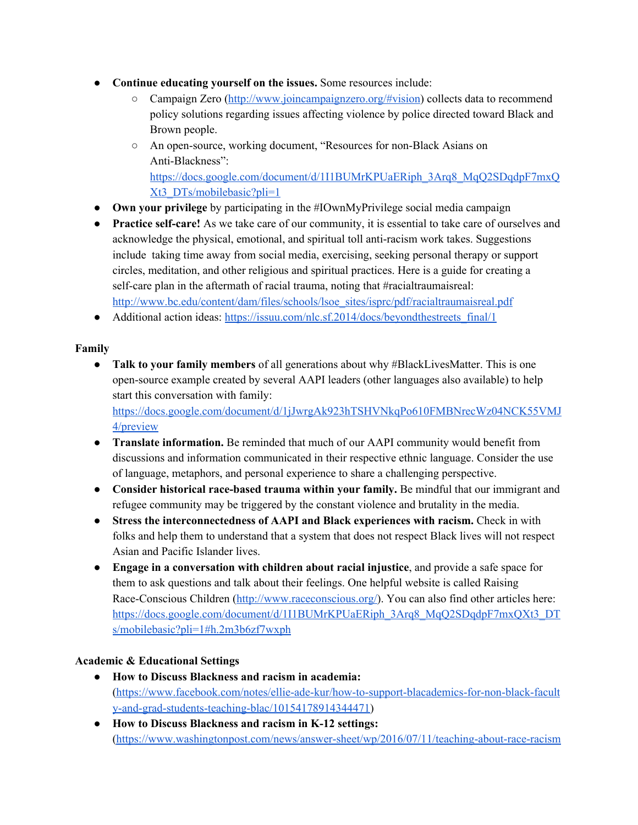- **Continue educating yourself on the issues.**Some resources include:
	- Campaign Zero [\(http://www.joincampaignzero.org/#vision\)](https://urldefense.proofpoint.com/v2/url?u=http-3A__www.joincampaignzero.org_-23vision&d=CwMFaQ&c=lqHimbpwJeF7VTDNof4ddl8H-RbXeAdbMI2MFE1TXqA&r=C2su9NsT12xykH4-PzsaTat5Q166LxgIi8qF9XzktGk&m=iZRxqdGx6iyJO6euT8CAyWqXwxmqB2lXsx5NyjudGGE&s=jA3Nn8oXrykZZXZINfvBVsDuvnxEZymuVJUvE1zp2s0&e=) collects data to recommend policy solutions regarding issues affecting violence by police directed toward Black and Brown people.
	- <sup>o</sup> An open-source, working document, "Resources for non-Black Asians on Anti-Blackness": [https://docs.google.com/document/d/1I1BUMrKPUaERiph\\_3Arq8\\_MqQ2SDqdpF7mxQ](https://docs.google.com/document/d/1I1BUMrKPUaERiph_3Arq8_MqQ2SDqdpF7mxQXt3_DTs/mobilebasic?pli=1) [Xt3\\_DTs/mobilebasic?pli=1](https://docs.google.com/document/d/1I1BUMrKPUaERiph_3Arq8_MqQ2SDqdpF7mxQXt3_DTs/mobilebasic?pli=1)
- **Own your privilege**by participating in the #IOwnMyPrivilege social media campaign
- Practice self-care! As we take care of our community, it is essential to take care of ourselves and acknowledge the physical, emotional, and spiritual toll antiracism work takes. Suggestions include taking time away from social media, exercising, seeking personal therapy or support circles, meditation, and other religious and spiritual practices. Here is a guide for creating a self-care plan in the aftermath of racial trauma, noting that #racialtraumaisreal: [http://www.bc.edu/content/dam/files/schools/lsoe\\_sites/isprc/pdf/racialtraumaisreal.pdf](http://www.bc.edu/content/dam/files/schools/lsoe_sites/isprc/pdf/racialtraumaisreal.pdf)
- Additional action ideas: https://issuu.com/nlc.sf.2014/docs/beyondthestreets final/1

# **Family**

● **Talk to your family members** of all generations about why #BlackLivesMatter. This is one opensource example created by several AAPI leaders (other languages also available) to help start this conversation with family: [https://docs.google.com/document/d/1jJwrgAk923hTSHVNkqPo610FMBNrecWz04NCK55VMJ](https://docs.google.com/document/d/1jJwrgAk923hTSHVNkqPo610FMBNrecWz04NCK55VMJ4/preview)

[4/preview](https://docs.google.com/document/d/1jJwrgAk923hTSHVNkqPo610FMBNrecWz04NCK55VMJ4/preview)

- **Translate information.** Be reminded that much of our AAPI community would benefit from discussions and information communicated in their respective ethnic language. Consider the use of language, metaphors, and personal experience to share a challenging perspective.
- **Consider historical racebased trauma within your family.**Be mindful that our immigrant and refugee community may be triggered by the constant violence and brutality in the media.
- **Stress the interconnectedness of AAPI and Black experiences with racism.** Check in with folks and help them to understand that a system that does not respect Black lives will not respect Asian and Pacific Islander lives.
- **Engage in a conversation with children about racial injustice**, and provide a safe space for them to ask questions and talk about their feelings. One helpful website is called Raising Race-Conscious Children [\(http://www.raceconscious.org/\)](http://www.raceconscious.org/). You can also find other articles here: [https://docs.google.com/document/d/1I1BUMrKPUaERiph\\_3Arq8\\_MqQ2SDqdpF7mxQXt3\\_DT](https://docs.google.com/document/d/1I1BUMrKPUaERiph_3Arq8_MqQ2SDqdpF7mxQXt3_DTs/mobilebasic?pli=1#h.2m3b6zf7wxph) [s/mobilebasic?pli=1#h.2m3b6zf7wxph](https://docs.google.com/document/d/1I1BUMrKPUaERiph_3Arq8_MqQ2SDqdpF7mxQXt3_DTs/mobilebasic?pli=1#h.2m3b6zf7wxph)

### **Academic & Educational Settings**

- **How to Discuss Blackness and racism in academia:** (https://www.facebook.com/notes/ellie-ade-kur/how-to-support-blacademics-for-non-black-facult  $y$ -and-grad-students-teaching-blac/10154178914344471)
- **How to Discuss Blackness and racism in K12 settings:**  $(\text{https://www.washingtonpost.com/news/answer-sheet/wp/2016/07/11/teaching-about-race-racing})$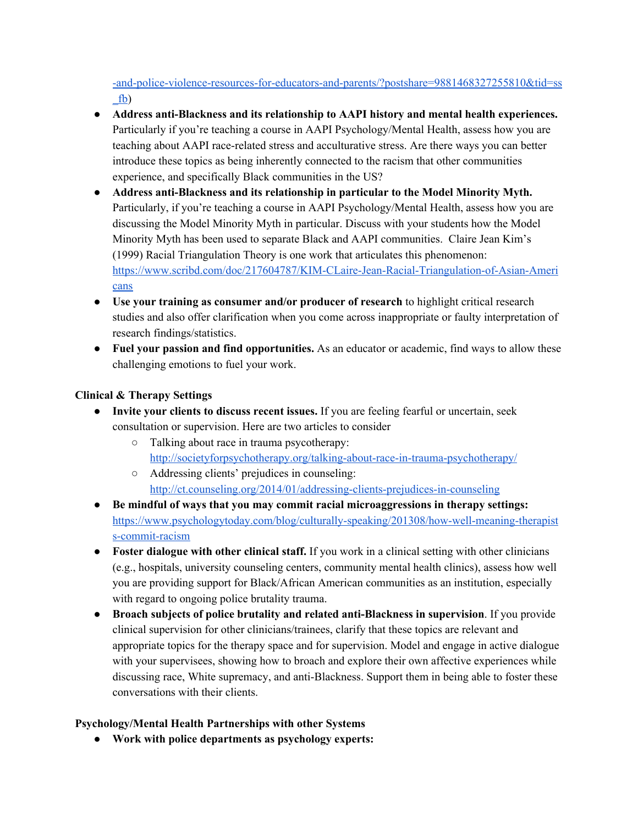-and-police-violence-resources-for-educators-and-parents/?postshare=9881468327255810&tid=ss  $fb)$ 

- **Address antiBlackness and its relationship to AAPI history and mental health experiences.** Particularly if you're teaching a course in AAPI Psychology/Mental Health, assess how you are teaching about AAPI race-related stress and acculturative stress. Are there ways you can better introduce these topics as being inherently connected to the racism that other communities experience, and specifically Black communities in the US?
- **Address antiBlackness and its relationship in particular to the Model Minority Myth.** Particularly, if you're teaching a course in AAPI Psychology/Mental Health, assess how you are discussing the Model Minority Myth in particular. Discuss with your students how the Model Minority Myth has been used to separate Black and AAPI communities. Claire Jean Kim's (1999) Racial Triangulation Theory is one work that articulates this phenomenon: https://www.scribd.com/doc/217604787/KIM-CLaire-Jean-Racial-Triangulation-of-Asian-Ameri [cans](https://www.scribd.com/doc/217604787/KIM-CLaire-Jean-Racial-Triangulation-of-Asian-Americans)
- **Use your training as consumer and/or producer of research** to highlight critical research studies and also offer clarification when you come across inappropriate or faulty interpretation of research findings/statistics.
- **Fuel your passion and find opportunities.**As an educator or academic, find ways to allow these challenging emotions to fuel your work.

# **Clinical & Therapy Settings**

- **Invite your clients to discuss recent issues.** If you are feeling fearful or uncertain, seek consultation or supervision. Here are two articles to consider
	- Talking about race in trauma psycotherapy: http://societyforpsychotherapy.org/talking-about-race-in-trauma-psychotherapy/
	- Addressing clients' prejudices in counseling: http://ct.counseling.org/2014/01/addressing-clients-prejudices-in-counseling
- **Be mindful of ways that you may commit racial microaggressions in therapy settings:** https://www.psychologytoday.com/blog/culturally-speaking/201308/how-well-meaning-therapist s-commit-racism
- **Foster dialogue with other clinical staff.** If you work in a clinical setting with other clinicians (e.g., hospitals, university counseling centers, community mental health clinics), assess how well you are providing support for Black/African American communities as an institution, especially with regard to ongoing police brutality trauma.
- **• Broach** subjects of police brutality and related anti-Blackness in supervision. If you provide clinical supervision for other clinicians/trainees, clarify that these topics are relevant and appropriate topics for the therapy space and for supervision. Model and engage in active dialogue with your supervisees, showing how to broach and explore their own affective experiences while discussing race, White supremacy, and anti-Blackness. Support them in being able to foster these conversations with their clients.

### **Psychology/Mental Health Partnerships with other Systems**

**● Work with police departments as psychology experts:**